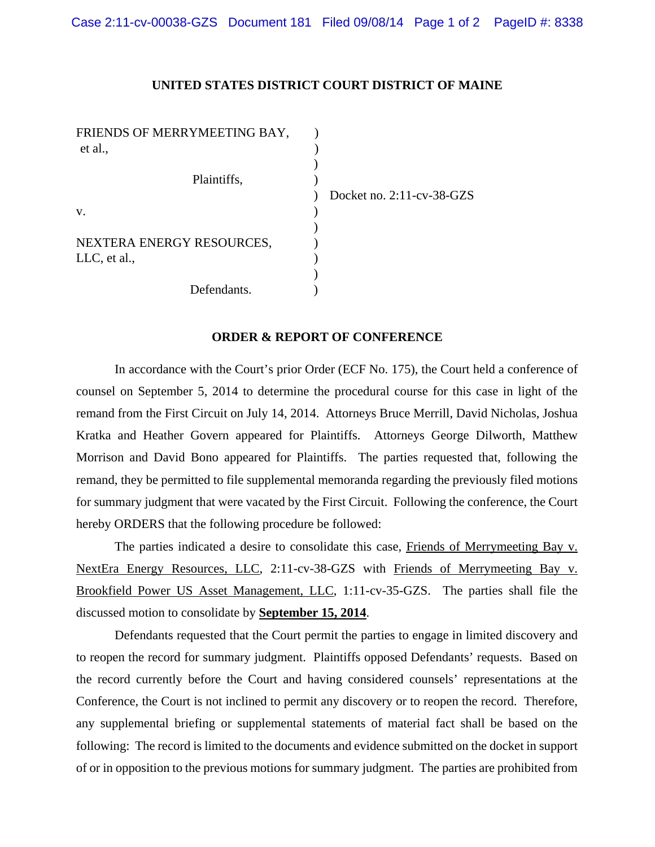## **UNITED STATES DISTRICT COURT DISTRICT OF MAINE**

| FRIENDS OF MERRYMEETING BAY, |                              |
|------------------------------|------------------------------|
| et al.,                      |                              |
|                              |                              |
| Plaintiffs,                  |                              |
|                              | Docket no. $2:11$ -cv-38-GZS |
| V.                           |                              |
|                              |                              |
| NEXTERA ENERGY RESOURCES,    |                              |
| LLC, et al.,                 |                              |
|                              |                              |
| Defendants.                  |                              |

## **ORDER & REPORT OF CONFERENCE**

In accordance with the Court's prior Order (ECF No. 175), the Court held a conference of counsel on September 5, 2014 to determine the procedural course for this case in light of the remand from the First Circuit on July 14, 2014. Attorneys Bruce Merrill, David Nicholas, Joshua Kratka and Heather Govern appeared for Plaintiffs. Attorneys George Dilworth, Matthew Morrison and David Bono appeared for Plaintiffs. The parties requested that, following the remand, they be permitted to file supplemental memoranda regarding the previously filed motions for summary judgment that were vacated by the First Circuit. Following the conference, the Court hereby ORDERS that the following procedure be followed:

The parties indicated a desire to consolidate this case, Friends of Merrymeeting Bay v. NextEra Energy Resources, LLC, 2:11-cv-38-GZS with Friends of Merrymeeting Bay v. Brookfield Power US Asset Management, LLC, 1:11-cv-35-GZS. The parties shall file the discussed motion to consolidate by **September 15, 2014**.

Defendants requested that the Court permit the parties to engage in limited discovery and to reopen the record for summary judgment. Plaintiffs opposed Defendants' requests. Based on the record currently before the Court and having considered counsels' representations at the Conference, the Court is not inclined to permit any discovery or to reopen the record. Therefore, any supplemental briefing or supplemental statements of material fact shall be based on the following: The record is limited to the documents and evidence submitted on the docket in support of or in opposition to the previous motions for summary judgment. The parties are prohibited from